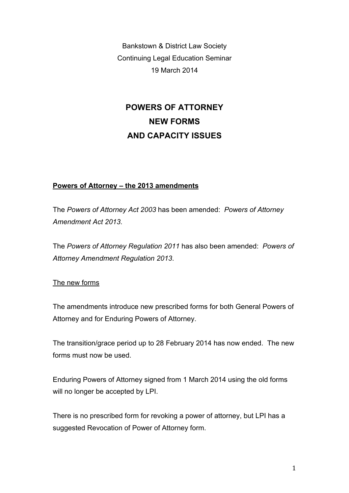Bankstown & District Law Society Continuing Legal Education Seminar 19 March 2014

# **POWERS OF ATTORNEY NEW FORMS AND CAPACITY ISSUES**

### **Powers of Attorney – the 2013 amendments**

The *Powers of Attorney Act 2003* has been amended: *Powers of Attorney Amendment Act 2013*.

The *Powers of Attorney Regulation 2011* has also been amended: *Powers of Attorney Amendment Regulation 2013*.

#### The new forms

The amendments introduce new prescribed forms for both General Powers of Attorney and for Enduring Powers of Attorney.

The transition/grace period up to 28 February 2014 has now ended. The new forms must now be used.

Enduring Powers of Attorney signed from 1 March 2014 using the old forms will no longer be accepted by LPI.

There is no prescribed form for revoking a power of attorney, but LPI has a suggested Revocation of Power of Attorney form.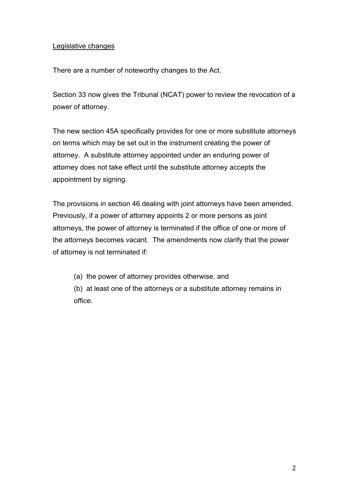#### Legislative changes

There are a number of noteworthy changes to the Act.

Section 33 now gives the Tribunal (NCAT) power to review the revocation of a power of attorney.

The new section 45A specifically provides for one or more substitute attorneys on terms which may be set out in the instrument creating the power of attorney. A substitute attorney appointed under an enduring power of attorney does not take effect until the substitute attorney accepts the appointment by signing.

The provisions in section 46 dealing with joint attorneys have been amended. Previously, if a power of attorney appoints 2 or more persons as joint attorneys, the power of attorney is terminated if the office of one or more of the attorneys becomes vacant. The amendments now clarify that the power of attorney is not terminated if:

(a) the power of attorney provides otherwise, and

(b) at least one of the attorneys or a substitute attorney remains in office.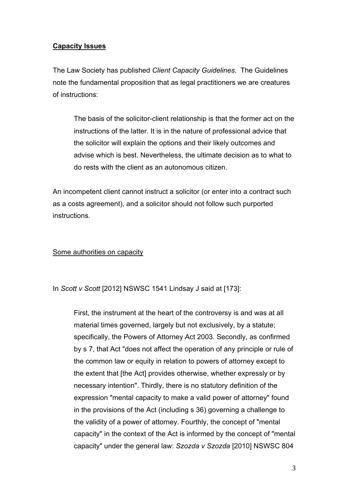#### **Capacity Issues**

The Law Society has published *Client Capacity Guidelines*. The Guidelines note the fundamental proposition that as legal practitioners we are creatures of instructions:

The basis of the solicitor-client relationship is that the former act on the instructions of the latter. It is in the nature of professional advice that the solicitor will explain the options and their likely outcomes and advise which is best. Nevertheless, the ultimate decision as to what to do rests with the client as an autonomous citizen.

An incompetent client cannot instruct a solicitor (or enter into a contract such as a costs agreement), and a solicitor should not follow such purported instructions.

#### Some authorities on capacity

In *Scott v Scott* [2012] NSWSC 1541 Lindsay J said at [173]:

First, the instrument at the heart of the controversy is and was at all material times governed, largely but not exclusively, by a statute; specifically, the Powers of Attorney Act 2003. Secondly, as confirmed by s 7, that Act "does not affect the operation of any principle or rule of the common law or equity in relation to powers of attorney except to the extent that [the Act] provides otherwise, whether expressly or by necessary intention". Thirdly, there is no statutory definition of the expression "mental capacity to make a valid power of attorney" found in the provisions of the Act (including s 36) governing a challenge to the validity of a power of attorney. Fourthly, the concept of "mental capacity" in the context of the Act is informed by the concept of "mental capacity" under the general law: *Szozda v Szozda* [2010] NSWSC 804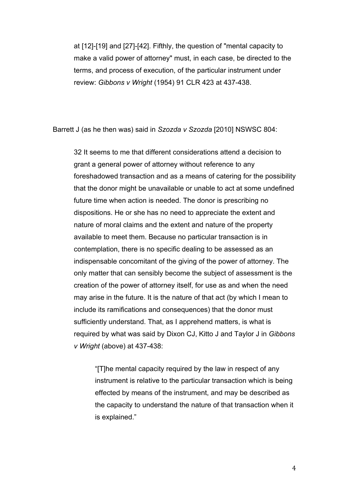at [12]-[19] and [27]-[42]. Fifthly, the question of "mental capacity to make a valid power of attorney" must, in each case, be directed to the terms, and process of execution, of the particular instrument under review: *Gibbons v Wright* (1954) 91 CLR 423 at 437-438.

Barrett J (as he then was) said in *Szozda v Szozda* [2010] NSWSC 804:

32 It seems to me that different considerations attend a decision to grant a general power of attorney without reference to any foreshadowed transaction and as a means of catering for the possibility that the donor might be unavailable or unable to act at some undefined future time when action is needed. The donor is prescribing no dispositions. He or she has no need to appreciate the extent and nature of moral claims and the extent and nature of the property available to meet them. Because no particular transaction is in contemplation, there is no specific dealing to be assessed as an indispensable concomitant of the giving of the power of attorney. The only matter that can sensibly become the subject of assessment is the creation of the power of attorney itself, for use as and when the need may arise in the future. It is the nature of that act (by which I mean to include its ramifications and consequences) that the donor must sufficiently understand. That, as I apprehend matters, is what is required by what was said by Dixon CJ, Kitto J and Taylor J in *Gibbons v Wright* (above) at 437-438:

"[T]he mental capacity required by the law in respect of any instrument is relative to the particular transaction which is being effected by means of the instrument, and may be described as the capacity to understand the nature of that transaction when it is explained."

4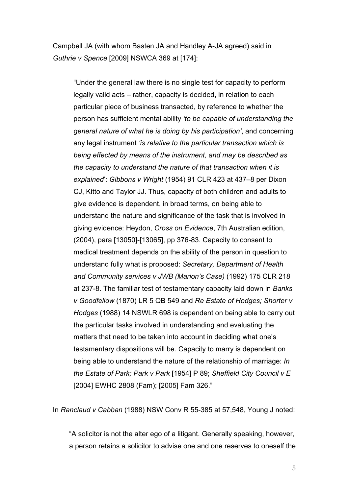Campbell JA (with whom Basten JA and Handley A-JA agreed) said in *Guthrie v Spence* [2009] NSWCA 369 at [174]:

"Under the general law there is no single test for capacity to perform legally valid acts – rather, capacity is decided, in relation to each particular piece of business transacted, by reference to whether the person has sufficient mental ability *'to be capable of understanding the general nature of what he is doing by his participation'*, and concerning any legal instrument *'is relative to the particular transaction which is being effected by means of the instrument, and may be described as the capacity to understand the nature of that transaction when it is explained*': *Gibbons v Wright* (1954) 91 CLR 423 at 437–8 per Dixon CJ, Kitto and Taylor JJ. Thus, capacity of both children and adults to give evidence is dependent, in broad terms, on being able to understand the nature and significance of the task that is involved in giving evidence: Heydon, *Cross on Evidence*, 7th Australian edition, (2004), para [13050]-[13065], pp 376-83. Capacity to consent to medical treatment depends on the ability of the person in question to understand fully what is proposed: *Secretary, Department of Health and Community services v JWB (Marion's Case)* (1992) 175 CLR 218 at 237-8. The familiar test of testamentary capacity laid down in *Banks v Goodfellow* (1870) LR 5 QB 549 and *Re Estate of Hodges; Shorter v Hodges* (1988) 14 NSWLR 698 is dependent on being able to carry out the particular tasks involved in understanding and evaluating the matters that need to be taken into account in deciding what one's testamentary dispositions will be. Capacity to marry is dependent on being able to understand the nature of the relationship of marriage: *In the Estate of Park; Park v Park* [1954] P 89; *Sheffield City Council v E* [2004] EWHC 2808 (Fam); [2005] Fam 326."

In *Ranclaud v Cabban* (1988) NSW Conv R 55-385 at 57,548, Young J noted:

"A solicitor is not the alter ego of a litigant. Generally speaking, however, a person retains a solicitor to advise one and one reserves to oneself the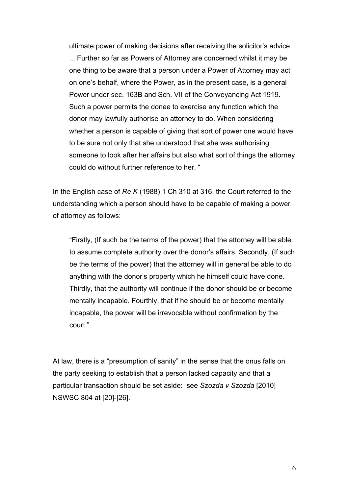ultimate power of making decisions after receiving the solicitor's advice ... Further so far as Powers of Attorney are concerned whilst it may be one thing to be aware that a person under a Power of Attorney may act on one's behalf, where the Power, as in the present case, is a general Power under sec. 163B and Sch. VII of the Conveyancing Act 1919. Such a power permits the donee to exercise any function which the donor may lawfully authorise an attorney to do. When considering whether a person is capable of giving that sort of power one would have to be sure not only that she understood that she was authorising someone to look after her affairs but also what sort of things the attorney could do without further reference to her. "

In the English case of *Re K* (1988) 1 Ch 310 at 316, the Court referred to the understanding which a person should have to be capable of making a power of attorney as follows:

"Firstly, (If such be the terms of the power) that the attorney will be able to assume complete authority over the donor's affairs. Secondly, (If such be the terms of the power) that the attorney will in general be able to do anything with the donor's property which he himself could have done. Thirdly, that the authority will continue if the donor should be or become mentally incapable. Fourthly, that if he should be or become mentally incapable, the power will be irrevocable without confirmation by the court."

At law, there is a "presumption of sanity" in the sense that the onus falls on the party seeking to establish that a person lacked capacity and that a particular transaction should be set aside: see *Szozda v Szozda* [2010] NSWSC 804 at [20]-[26].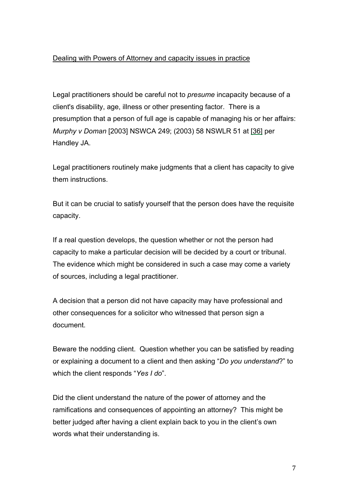## Dealing with Powers of Attorney and capacity issues in practice

Legal practitioners should be careful not to *presume* incapacity because of a client's disability, age, illness or other presenting factor. There is a presumption that a person of full age is capable of managing his or her affairs: *Murphy v Doman* [2003] NSWCA 249; (2003) 58 NSWLR 51 at [36] per Handley JA.

Legal practitioners routinely make judgments that a client has capacity to give them instructions.

But it can be crucial to satisfy yourself that the person does have the requisite capacity.

If a real question develops, the question whether or not the person had capacity to make a particular decision will be decided by a court or tribunal. The evidence which might be considered in such a case may come a variety of sources, including a legal practitioner.

A decision that a person did not have capacity may have professional and other consequences for a solicitor who witnessed that person sign a document.

Beware the nodding client. Question whether you can be satisfied by reading or explaining a document to a client and then asking "*Do you understand*?" to which the client responds "*Yes I do*".

Did the client understand the nature of the power of attorney and the ramifications and consequences of appointing an attorney? This might be better judged after having a client explain back to you in the client's own words what their understanding is.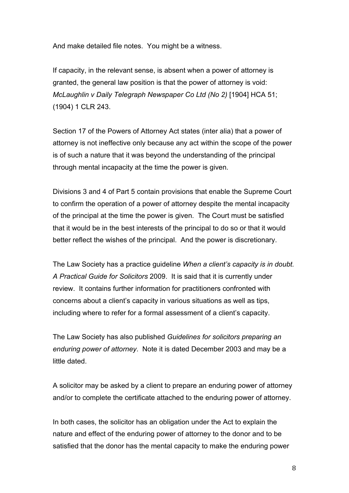And make detailed file notes. You might be a witness.

If capacity, in the relevant sense, is absent when a power of attorney is granted, the general law position is that the power of attorney is void: *McLaughlin v Daily Telegraph Newspaper Co Ltd (No 2)* [1904] HCA 51; (1904) 1 CLR 243.

Section 17 of the Powers of Attorney Act states (inter alia) that a power of attorney is not ineffective only because any act within the scope of the power is of such a nature that it was beyond the understanding of the principal through mental incapacity at the time the power is given.

Divisions 3 and 4 of Part 5 contain provisions that enable the Supreme Court to confirm the operation of a power of attorney despite the mental incapacity of the principal at the time the power is given. The Court must be satisfied that it would be in the best interests of the principal to do so or that it would better reflect the wishes of the principal. And the power is discretionary.

The Law Society has a practice guideline *When a client's capacity is in doubt. A Practical Guide for Solicitors* 2009. It is said that it is currently under review. It contains further information for practitioners confronted with concerns about a client's capacity in various situations as well as tips, including where to refer for a formal assessment of a client's capacity.

The Law Society has also published *Guidelines for solicitors preparing an enduring power of attorney*. Note it is dated December 2003 and may be a little dated.

A solicitor may be asked by a client to prepare an enduring power of attorney and/or to complete the certificate attached to the enduring power of attorney.

In both cases, the solicitor has an obligation under the Act to explain the nature and effect of the enduring power of attorney to the donor and to be satisfied that the donor has the mental capacity to make the enduring power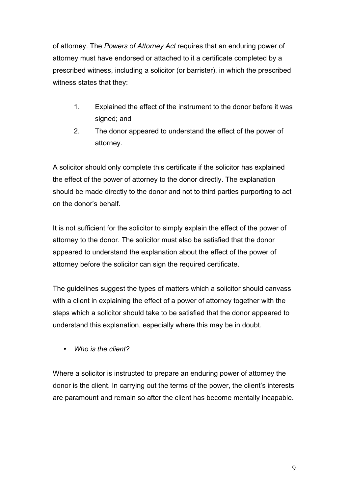of attorney. The *Powers of Attorney Act* requires that an enduring power of attorney must have endorsed or attached to it a certificate completed by a prescribed witness, including a solicitor (or barrister), in which the prescribed witness states that they:

- 1. Explained the effect of the instrument to the donor before it was signed; and
- 2. The donor appeared to understand the effect of the power of attorney.

A solicitor should only complete this certificate if the solicitor has explained the effect of the power of attorney to the donor directly. The explanation should be made directly to the donor and not to third parties purporting to act on the donor's behalf.

It is not sufficient for the solicitor to simply explain the effect of the power of attorney to the donor. The solicitor must also be satisfied that the donor appeared to understand the explanation about the effect of the power of attorney before the solicitor can sign the required certificate.

The guidelines suggest the types of matters which a solicitor should canvass with a client in explaining the effect of a power of attorney together with the steps which a solicitor should take to be satisfied that the donor appeared to understand this explanation, especially where this may be in doubt.

• *Who is the client?*

Where a solicitor is instructed to prepare an enduring power of attorney the donor is the client. In carrying out the terms of the power, the client's interests are paramount and remain so after the client has become mentally incapable.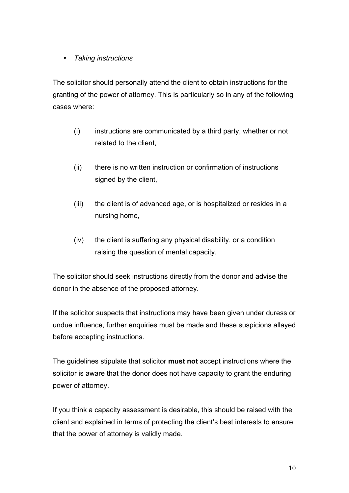# • *Taking instructions*

The solicitor should personally attend the client to obtain instructions for the granting of the power of attorney. This is particularly so in any of the following cases where:

- (i) instructions are communicated by a third party, whether or not related to the client,
- (ii) there is no written instruction or confirmation of instructions signed by the client,
- (iii) the client is of advanced age, or is hospitalized or resides in a nursing home,
- (iv) the client is suffering any physical disability, or a condition raising the question of mental capacity.

The solicitor should seek instructions directly from the donor and advise the donor in the absence of the proposed attorney.

If the solicitor suspects that instructions may have been given under duress or undue influence, further enquiries must be made and these suspicions allayed before accepting instructions.

The guidelines stipulate that solicitor **must not** accept instructions where the solicitor is aware that the donor does not have capacity to grant the enduring power of attorney.

If you think a capacity assessment is desirable, this should be raised with the client and explained in terms of protecting the client's best interests to ensure that the power of attorney is validly made.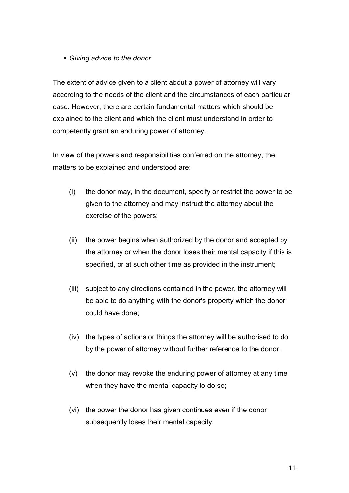• *Giving advice to the donor*

The extent of advice given to a client about a power of attorney will vary according to the needs of the client and the circumstances of each particular case. However, there are certain fundamental matters which should be explained to the client and which the client must understand in order to competently grant an enduring power of attorney.

In view of the powers and responsibilities conferred on the attorney, the matters to be explained and understood are:

- (i) the donor may, in the document, specify or restrict the power to be given to the attorney and may instruct the attorney about the exercise of the powers;
- (ii) the power begins when authorized by the donor and accepted by the attorney or when the donor loses their mental capacity if this is specified, or at such other time as provided in the instrument;
- (iii) subject to any directions contained in the power, the attorney will be able to do anything with the donor's property which the donor could have done;
- (iv) the types of actions or things the attorney will be authorised to do by the power of attorney without further reference to the donor;
- (v) the donor may revoke the enduring power of attorney at any time when they have the mental capacity to do so;
- (vi) the power the donor has given continues even if the donor subsequently loses their mental capacity;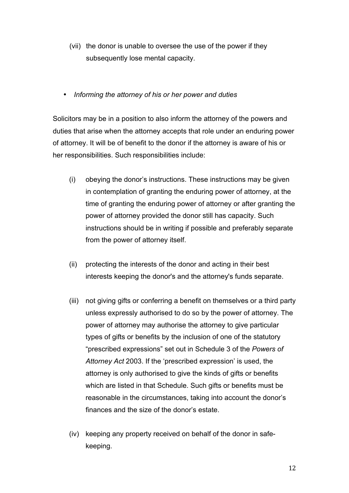- (vii) the donor is unable to oversee the use of the power if they subsequently lose mental capacity.
- *Informing the attorney of his or her power and duties*

Solicitors may be in a position to also inform the attorney of the powers and duties that arise when the attorney accepts that role under an enduring power of attorney. It will be of benefit to the donor if the attorney is aware of his or her responsibilities. Such responsibilities include:

- (i) obeying the donor's instructions. These instructions may be given in contemplation of granting the enduring power of attorney, at the time of granting the enduring power of attorney or after granting the power of attorney provided the donor still has capacity. Such instructions should be in writing if possible and preferably separate from the power of attorney itself.
- (ii) protecting the interests of the donor and acting in their best interests keeping the donor's and the attorney's funds separate.
- (iii) not giving gifts or conferring a benefit on themselves or a third party unless expressly authorised to do so by the power of attorney. The power of attorney may authorise the attorney to give particular types of gifts or benefits by the inclusion of one of the statutory "prescribed expressions" set out in Schedule 3 of the *Powers of Attorney Act* 2003. If the 'prescribed expression' is used, the attorney is only authorised to give the kinds of gifts or benefits which are listed in that Schedule. Such gifts or benefits must be reasonable in the circumstances, taking into account the donor's finances and the size of the donor's estate.
- (iv) keeping any property received on behalf of the donor in safekeeping.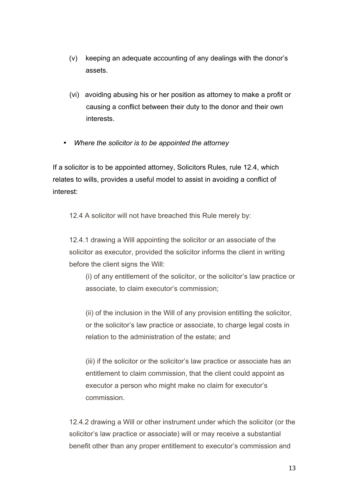- (v) keeping an adequate accounting of any dealings with the donor's assets.
- (vi) avoiding abusing his or her position as attorney to make a profit or causing a conflict between their duty to the donor and their own interests.
- *Where the solicitor is to be appointed the attorney*

If a solicitor is to be appointed attorney, Solicitors Rules, rule 12.4, which relates to wills, provides a useful model to assist in avoiding a conflict of interest:

12.4 A solicitor will not have breached this Rule merely by:

12.4.1 drawing a Will appointing the solicitor or an associate of the solicitor as executor, provided the solicitor informs the client in writing before the client signs the Will:

(i) of any entitlement of the solicitor, or the solicitor's law practice or associate, to claim executor's commission;

(ii) of the inclusion in the Will of any provision entitling the solicitor, or the solicitor's law practice or associate, to charge legal costs in relation to the administration of the estate; and

(iii) if the solicitor or the solicitor's law practice or associate has an entitlement to claim commission, that the client could appoint as executor a person who might make no claim for executor's commission.

12.4.2 drawing a Will or other instrument under which the solicitor (or the solicitor's law practice or associate) will or may receive a substantial benefit other than any proper entitlement to executor's commission and